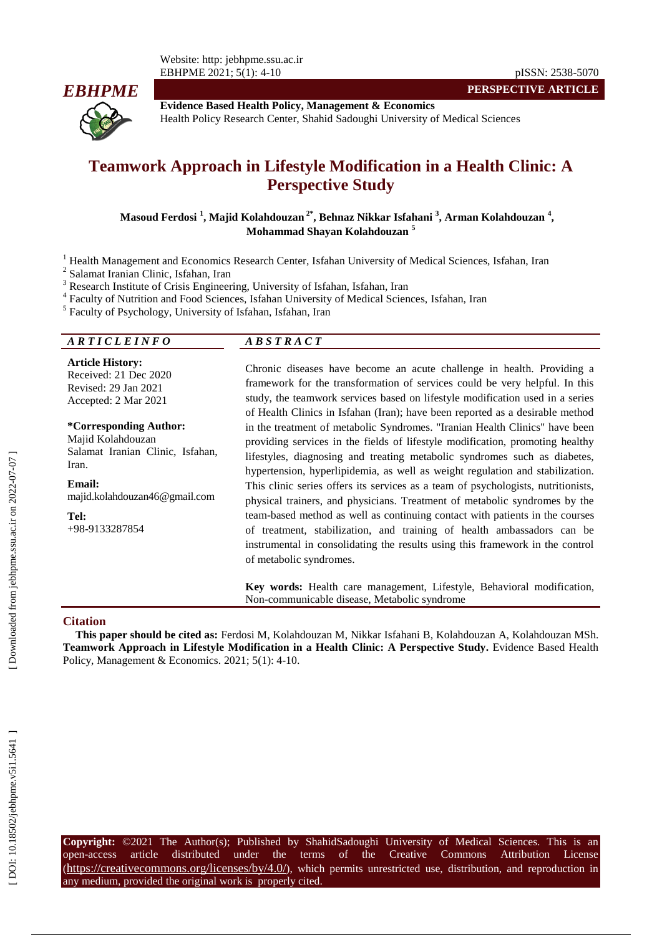

**Evidence Based Health Policy, Management & Economics** Health Policy Research Center, Shahid Sadoughi University of Medical Sciences

# **Teamwork Approach in Lifestyle Modification in a Health Clinic: A Perspective Study**

#### **Masoud Ferdosi 1 , Majid Kolahdouzan 2\*, Behnaz Nikkar Isfahani 3 , Arman Kolahdouzan 4 , Mohammad Shayan Kolahdouzan 5**

<sup>1</sup> Health Management and Economics Research Center, Isfahan University of Medical Sciences, Isfahan, Iran <sup>2</sup>

<sup>2</sup> Salamat Iranian Clinic, Isfahan, Iran

<sup>3</sup> Research Institute of Crisis Engineering, University of Isfahan, Isfahan, Iran

Faculty of Nutrition and Food Sciences, Isfahan University of Medical Sciences, Isfahan, Iran

<sup>5</sup> Faculty of Psychology, University of Isfahan, Isfahan, Iran

# *A R T I C L E I N F O A B S T R A C T*

**Article History:** Received: 21 Dec 2020 Revised: 2 9 Jan 202 1 Accepted: 2 Mar 202 1

**\*Corresponding Author:** Majid Kolahdouzan Salamat Iranian Clinic, Isfahan, Iran .

**Email:** majid.kolahdouzan46@gmail.com

**Tel:** +98 -9133287854 Chronic diseases have become an acute challenge in health. Providing a framework for the transformation of services could be very helpful. In this study, the teamwork services based on lifestyle modification used in a series of Health Clinics in Isfahan (Iran); have been reported as a desirable method in the treatment of metabolic Syndromes. "Iranian Health Clinics" have been providing services in the fields of lifestyle modification, promoting healthy lifestyles, diagnosing and treating metabolic syndromes such as diabetes, hypertension, hyperlipidemia, as well as weight regulation and stabilization. This clinic series offers its services as a team of psychologists, nutritionists, physical trainers, and physicians. Treatment of metabolic syndromes by the team -based method as well as continuing contact with patients in the courses of treatment, stabilization, and training of health ambassadors can be instrumental in consolidating the results using this framework in the control of metabolic syndromes.

**PERSPECTIVE ARTICLE**

**Key words:** Health care management, Lifestyle, Behavioral modification, Non -communicable disease, Metabolic syndrome

#### **Citation**

**This paper should be cited as:** Ferdosi M, Kolahdouzan M, Nikkar Isfahani B, Kolahdouzan A, Kolahdouzan MSh. **Teamwork Approach in Lifestyle Modification in a Health Clinic: A Perspective Study .** Evidence Based Health Policy, Management & Economics. 2021; 5(1): 4-10.

**Copyright:** ©2021 The Author(s); Published by ShahidSadoughi University of Medical Sciences. This is an open-access -access article distributed under the terms of the Creative Commons Attribution License (https://creativecommons.org/licenses/by/4.0/), which permits unrestricted use, distribution, and reproduction in any medium, provided the original work is properly cited.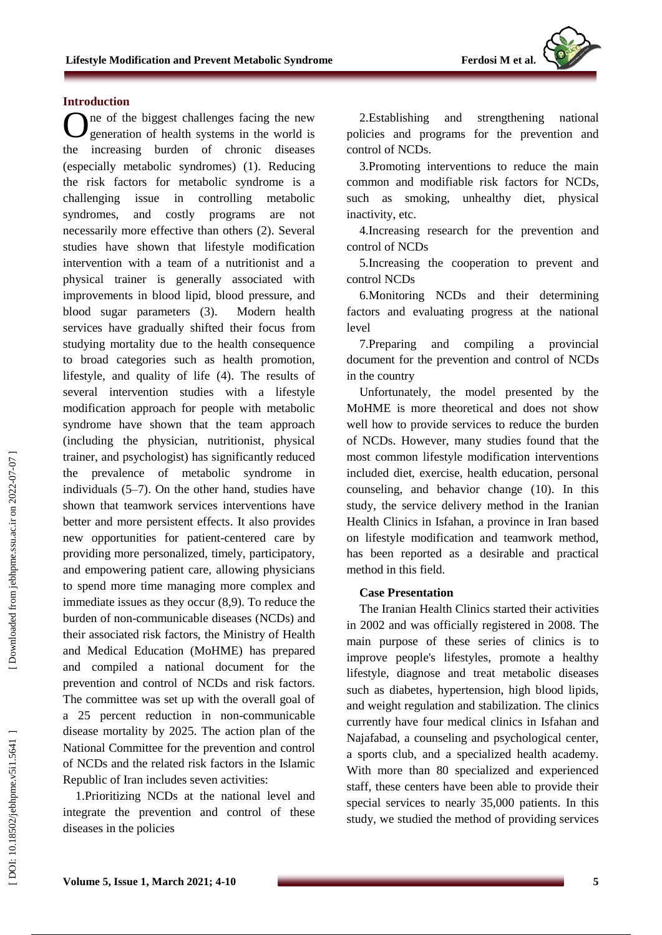

#### **Introduction**

One of the biggest challenges facing the new generation of health systems in the world is generation of health systems in the world is the increasing burden of chronic diseases (especially metabolic syndromes) (1). Reducing the risk factors for metabolic syndrome is a challenging issue in controlling metabolic syndromes, and costly programs are not necessarily more effective than others (2). Several studies have shown that lifestyle modification intervention with a team of a nutritionist and a physical trainer is generally associated with improvements in blood lipid, blood pressure, and blood sugar parameters (3). Modern health services have gradually shifted their focus from studying mortality due to the health consequence to broad categories such as health promotion, lifestyle, and quality of life (4). The results of several intervention studies with a lifestyle modification approach for people with metabolic syndrome have shown that the team approach (including the physician, nutritionist, physical trainer, and psychologist) has significantly reduced the prevalence of metabolic syndrome in individuals (5 –7) . On the other hand, studies have shown that teamwork services interventions have better and more persistent effects . It also provides new opportunities for patient -centered care by providing more personalized, timely, participatory, and empowering patient care, allowing physicians to spend more time managing more complex and immediate issues as they occur (8,9) . To reduce the burden of non -communicable diseases (NCDs) and their associated risk factors, the Ministry of Health and Medical Education (MoHME) has prepared and compiled a national document for the prevention and control of NCDs and risk factors. The committee was set up with the overall goal of a 25 percent reduction in non -communicable disease mortality by 2025. The action plan of the National Committee for the prevention and control of NCDs and the related risk factors in the Islamic Republic of Iran includes seven activities:

1.Prioritizing NCDs at the national level and integrate the prevention and control of these diseases in the policies

2. Establishing and strengthening national policies and programs for the prevention and control of NCDs .

3 .Promoting interventions to reduce the main common and modifiable risk factors for NCDs , such as smoking, unhealthy diet, physical inactivity, etc.

4.Increasing research for the prevention and control of NCDs

5.Increasing the cooperation to prevent and control NCDs

6.Monitoring NCDs and their determining factors and evaluating progress at the national level

7.Preparing and compiling a provincial document for the prevention and control of NCDs in the country

Unfortunately, the model presented by the MoHME is more theoretical and does not show well how to provide services to reduce the burden of NCDs . However, many studies found that the most common lifestyle modification interventions included diet, exercise, health education, personal counseling, and behavior change (10) . In this study, the service delivery method in the Iranian Health Clinics in Isfahan, a province in Iran based on lifestyle modification and teamwork method, has been reported as a desirable and practical method in this field.

#### **Case Presentation**

The Iranian Health Clinics started their activities in 2002 and was officially registered in 2008. The main purpose of these series of clinics is to improve people's lifestyles, promote a healthy lifestyle, diagnose and treat metabolic diseases such as diabetes, hypertension, high blood lipids, and weight regulation and stabilization. The clinics currently have four medical clinics in Isfahan and Najafabad, a counseling and psychological center, a sports club , and a specialized health academy. With more than 80 specialized and experienced staff, these centers have been able to provide their special services to nearly 35,000 patients. In this study, we studied the method of providing services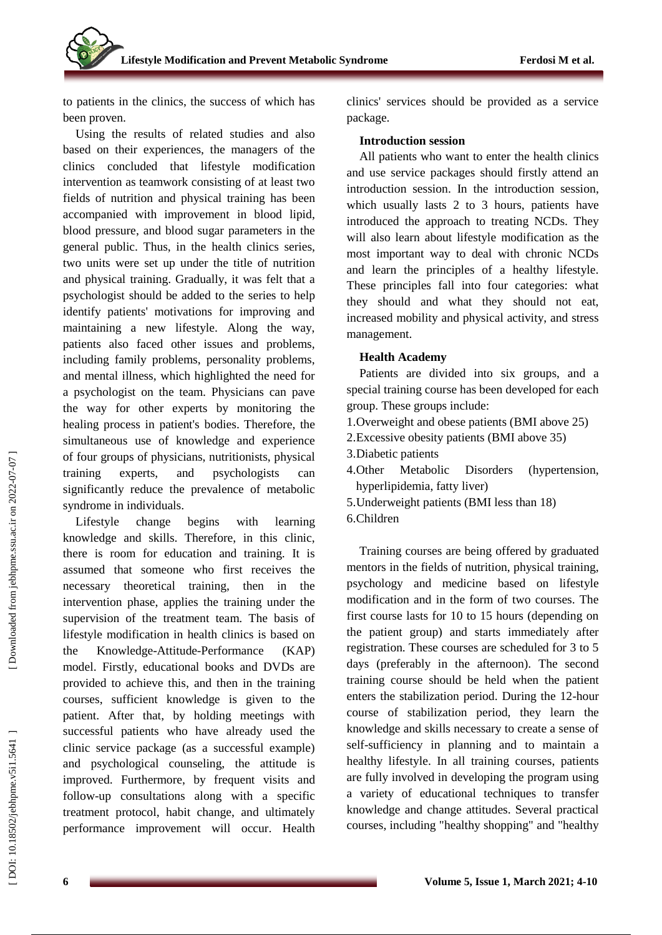to patients in the clinics, the success of which has been proven.

Using the results of related studies and also based on their experiences, the managers of the clinics concluded that lifestyle modification intervention as teamwork consisting of at least two fields of nutrition and physical training has been accompanied with improvement in blood lipid, blood pressure , and blood sugar parameters in the general public. Thus, in the health clinics series, two units were set up under the title of nutrition and physical training. Gradually, it was felt that a psychologist should be added to the series to help identify patients' motivations for improving and maintaining a new lifestyle. Along the way, patients also faced other issues and problems, including family problems, personality problems, and mental illness, which highlighted the need for a psychologist on the team. Physicians can pave the way for other experts by monitoring the healing process in patient's bodies. Therefore, the simultaneous use of knowledge and experience of four groups of physicians, nutritionists, physical training experts, and psychologists can significantly reduce the prevalence of metabolic syndrome in individuals.

Lifestyle change begins with learning knowledge and skills. Therefore, in this clinic, there is room for education and training. It is assumed that someone who first receives the necessary theoretical training, then in the intervention phase, applies the training under the supervision of the treatment team. The basis of lifestyle modification in health clinics is based on the Knowledge -Attitude -Performance (KAP) model. Firstly, educational books and DVDs are provided to achieve this, and then in the training courses, sufficient knowledge is given to the patient. After that, by holding meetings with successful patients who have already used the clinic service package (as a successful example) and psychological counseling, the attitude is improved. Furthermore, by frequent visits and follow -up consultations along with a specific treatment protocol, habit change, and ultimately performance improvement will occur. Health

clinics' services should be provided as a service package.

#### **Introduction session**

All patients who want to enter the health clinics and use service packages should firstly attend an introduction session. In the introduction session , which usually lasts 2 to 3 hours, patients have introduced the approach to treating NCDs. They will also learn about lifestyle modification as the most important way to deal with chronic NCDs and learn the principles of a healthy lifestyle. These principles fall into four categories: what they should and what they should not eat, increased mobility and physical activity, and stress management.

#### **Health Academy**

Patients are divided into six groups , and a special training course has been developed for each group. These groups include :

- 1 .Overweight and obese patients (BMI above 25)
- 2 .Excessive obesity patients (BMI above 35)
- 3 .Diabetic patients
- 4 Metabolic Disorders (hypertension, hyperlipidemia, fatty liver)
- 5 .Underweight patients (BMI less than 18)
- 6 .Children

Training courses are being offered by graduated mentors in the fields of nutrition, physical training, psychology and medicine based on lifestyle modification and in the form of two courses. The first course lasts for 10 to 15 hours (depending on the patient group) and starts immediately after registration. These courses are scheduled for 3 to 5 days (preferably in the afternoon). The second training course should be held when the patient enters the stabilization period. During the 12 -hour course of stabilization period, they learn the knowledge and skills necessary to create a sense of self-sufficiency in planning and to maintain a healthy lifestyle. In all training courses, patients are fully involved in developing the program using a variety of educational techniques to transfer knowledge and change attitudes. Several practical courses, including "healthy shopping" and "healthy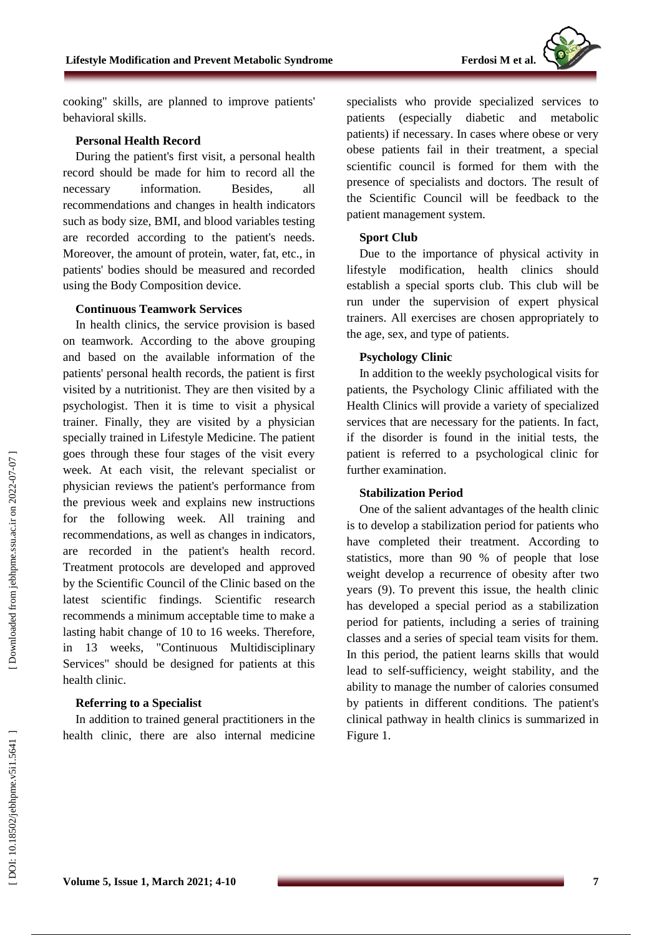cooking" skills , are planned to improve patients' behavioral skills.

#### **Personal Health Record**

During the patient's first visit, a personal health record should be made for him to record all the necessary information. Besides, all recommendations and changes in health indicators such as body size, BMI, and blood variables testing are recorded according to the patient's needs. Moreover, the amount of protein, water, fat, etc. , in patients' bodies should be measured and recorded using the Body Composition device.

#### **Continuous Teamwork Services**

In health clinics, the service provision is based on teamwork. According to the above grouping and based on the available information of the patients' personal health records, the patient is first visited by a nutritionist. They are then visited by a psychologist. Then it is time to visit a physical trainer. Finally, they are visited by a physician specially trained in Lifestyle Medicine. The patient goes through these four stages of the visit every week. At each visit, the relevant specialist or physician reviews the patient's performance from the previous week and explains new instructions for the following week. All training and recommendations , as well as changes in indicators , are recorded in the patient's health record . Treatment protocols are developed and approved by the Scientific Council of the Clinic based on the latest scientific findings. Scientific research recommends a minimum acceptable time to make a lasting habit change of 10 to 16 weeks. Therefore, in 13 weeks , "Continuous Multidisciplinary Services" should be designed for patients at this health clinic.

#### **Referring to a Specialist**

In addition to trained general practitioners in the health clinic, there are also internal medicine specialists who provide specialized services to patients (especially diabetic and metabolic patients) if necessary. In cases where obese or very obese patients fail in their treatment, a special scientific council is formed for them with the presence of specialists and doctors. The result of the Scientific Council will be feedback to the patient management system.

# **Sport Club**

Due to the importance of physical activity in lifestyle modification, health clinics should establish a special sports club. This club will be run under the supervision of expert physical trainers. All exercises are chosen appropriately to the age, sex, and type of patients.

#### **Psychology Clinic**

In addition to the weekly psychological visits for patients, the Psychology Clinic affiliated with the Health Clinic s will provide a variety of specialized services that are necessary for the patients. In fact, if the disorder is found in the initial tests, the patient is referred to a psychological clinic for further examination.

#### **Stabilization Period**

One of the salient advantages of the health clinic is to develop a stabilization period for patients who have completed their treatment. According to statistics, more than 90 % of people that lose weight develop a recurrence of obesity after two years (9) . To prevent this issue, the health clinic has developed a special period as a stabilization period for patients , including a series of training classes and a series of special team visits for them. In this period, the patient learns skills that would lead to self-sufficiency, weight stability , and the ability to manage the number of calories consumed by patients in different conditions. The patient's clinical pathway in health clinics is summarized in Figure 1.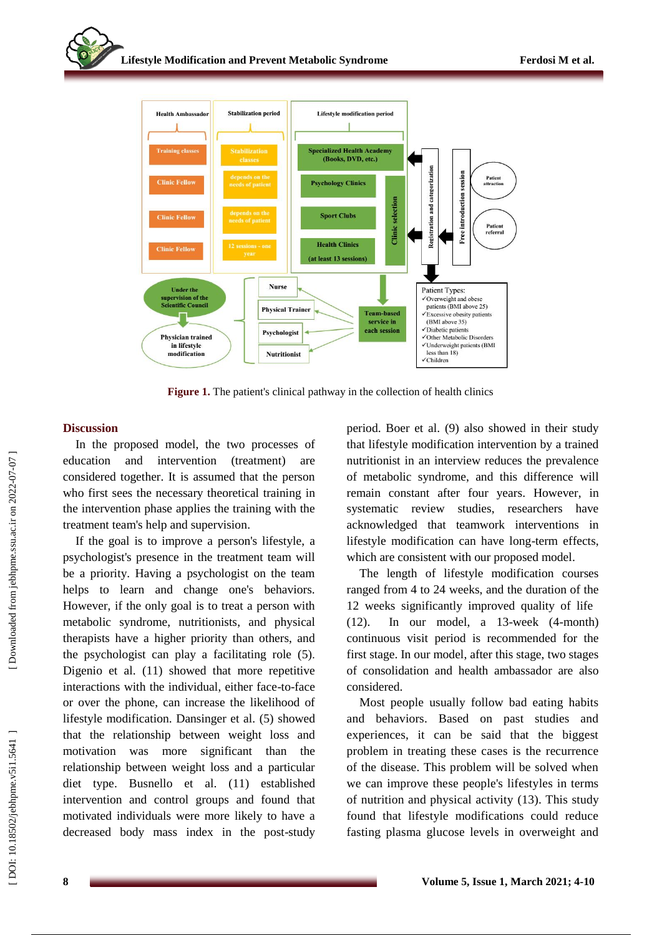

**Figure 1 .** The patient's clinical pathway in the collection of health clinics

# **Discussion**

In the proposed model, the two processes of education and intervention (treatment) are considered together. It is assumed that the person who first sees the necessary theoretical training in the intervention phase applies the training with the treatment team's help and supervision .

If the goal is to improve a person's lifestyle, a psychologist's presence in the treatment team will be a priority. Having a psychologist on the team helps to learn and change one's behaviors. However, if the only goal is to treat a person with metabolic syndrome, nutritionists , and physical therapists have a higher priority than others, and the psychologist can play a facilitating role (5) . Digenio et al. (11) showed that more repetitive interactions with the individual, either face-to-face or over the phone, can increase the likelihood of lifestyle modification. Dansinger et al. (5) showed that the relationship between weight loss and motivation was more significant than the relationship between weight loss and a particular diet type. Busnello et al. (11) established intervention and control groups and found that motivated individuals were more likely to have a decreased body mass index in the post -study period. Boer et al. (9) also showed in their study that lifestyle modification intervention by a trained nutritionist in an interview reduces the prevalence of metabolic syndrome , and this difference will remain constant after four years. However, in systematic review studies, researchers have acknowledged that teamwork interventions in lifestyle modification can have long -term effects, which are consistent with our proposed model.

The length of lifestyle modification courses ranged from 4 to 24 weeks, and the duration of the 12 weeks significantly improved quality of life  $(12)$ . . In our model, a 13 -week (4 -month) continuous visit period is recommended for the first stage. In our model, after this stage, two stages of consolidation and health ambassador are also considered.

Most people usually follow bad eating habits and behaviors. Based on past studies and experiences, it can be said that the biggest problem in treating these cases is the recurrence of the disease. This problem will be solved when we can improve these people's lifestyle s in terms of nutrition and physical activity (13). This study found that lifestyle modifications could reduce fasting plasma glucose levels in overweight and

 [\[ DOI: 10.18502/jebhpme.v5i1.5641 \]](http://dx.doi.org/10.18502/jebhpme.v5i1.5641 ) [\[ Downloaded from jebhpme.ssu.ac.ir on 2](https://jebhpme.ssu.ac.ir/article-1-326-en.html)022-07-07 ]

DOI: 10.18502/jebhpme.v5i1.5641

Downloaded from jebhpme.ssu.ac.ir on 2022-07-07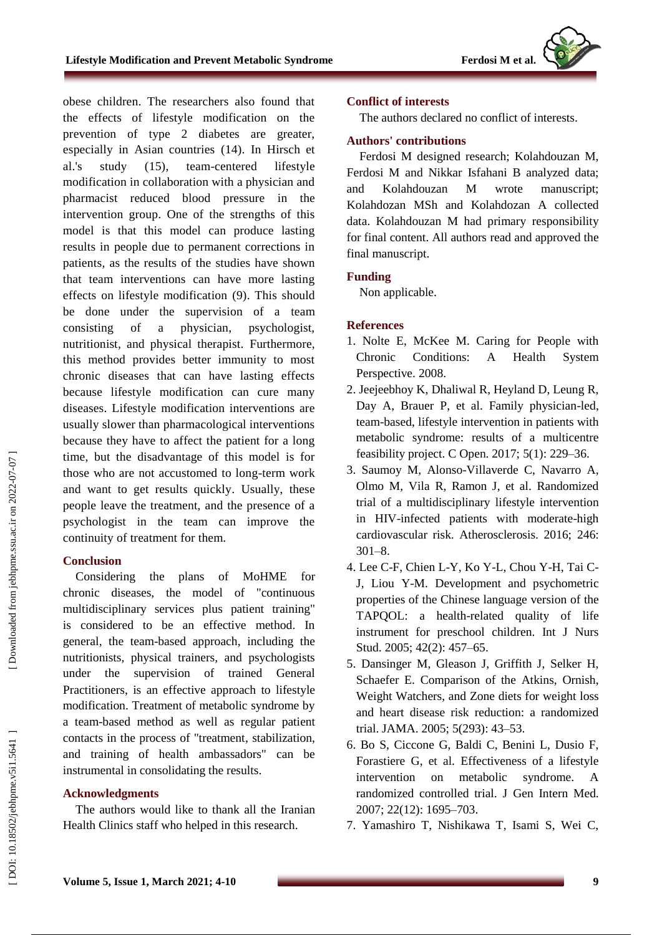

obese children. The researchers also found that the effects of lifestyle modification on the prevention of type 2 diabetes are greater, especially in Asian countries (14). In Hirsch et al.'s study  $(15)$ , -centered lifestyle modification in collaboration with a physician and pharmacist reduced blood pressure in the intervention group. One of the strengths of this model is that this model can produce lasting results in people due to permanent corrections in patients , as the results of the studies have shown that team interventions can have more lasting effects on lifestyle modification (9). This should be done under the supervision of a team consisting of a physician, psychologist, nutritionist, and physical therapist. Furthermore, this method provides better immunity to most chronic diseases that can have lasting effects because lifestyle modification can cure many diseases. Lifestyle modification interventions are usually slower than pharmacological interventions because they have to affect the patient for a long time, but the disadvantage of this model is for those who are not accustomed to long -term work and want to get results quickly. Usually, these people leave the treatment, and the presence of a psychologist in the team can improve the continuity of treatment for them.

# **Conclusion**

Considering the plans of MoHME for chronic diseases, the model of "continuous multidisciplinary services plus patient training" is considered to be an effective method. In general, the team -based approach , including the nutritionists, physical trainers, and psychologists under the supervision of trained General Practitioner s , is an effective approach to lifestyle modification. Treatment of metabolic syndrome by a team-based method as well as regular patient contacts in the process of "treatment, stabilization, and training of health ambassadors" can be instrumental in consolidating the results.

# **Acknowledgment s**

The authors would like to thank all the Iranian Health Clinics staff who helped in this research.

# **Conflict of interests**

The authors declared no conflict of interests.

#### **Authors' contributions**

Ferdosi M designed research; Kolahdouzan M, Ferdosi M and Nikkar Isfahani B analyzed data; and Kolahdouzan M wrote manuscript; Kolahdozan MSh and Kolahdozan A collected data. Kolahdouzan M had primary responsibility for final content. All authors read and approved the final manuscript.

# **Funding**

Non applicable.

# **References**

- 1. Nolte E, McKee M. Caring for People with Chronic Conditions: A Health System Perspective. 2008.
- 2. Jeejeebhoy K, Dhaliwal R, Heyland D, Leung R, Day A, Brauer P, et al. Family physician -led, team -based, lifestyle intervention in patients with metabolic syndrome: results of a multicentre feasibility project. C Open. 2017; 5(1): 229 –36.
- 3. Saumoy M, Alonso -Villaverde C, Navarro A, Olmo M, Vila R, Ramon J, et al. Randomized trial of a multidisciplinary lifestyle intervention in HIV -infected patients with moderate -high cardiovascular risk. Atherosclerosis. 2016; 246: 301 –8.
- 4. Lee C-F, Chien L-Y, Ko Y-L, Chou Y-H, Tai C-J, Liou Y -M. Development and psychometric properties of the Chinese language version of the TAPQOL: a health -related quality of life instrument for preschool children. Int J Nurs Stud. 2005; 42(2): 457 –65.
- 5. Dansinger M, Gleason J, Griffith J, Selker H, Schaefer E. Comparison of the Atkins, Ornish, Weight Watchers, and Zone diets for weight loss and heart disease risk reduction: a randomized trial. JAMA. 2005; 5(293): 43 –53.
- 6. Bo S, Ciccone G, Baldi C, Benini L, Dusio F, Forastiere G, et al. Effectiveness of a lifestyle intervention on metabolic syndrome. A randomized controlled trial. J Gen Intern Med. 2007; 22(12): 1695 –703.
- 7. Yamashiro T, Nishikawa T, Isami S, Wei C,